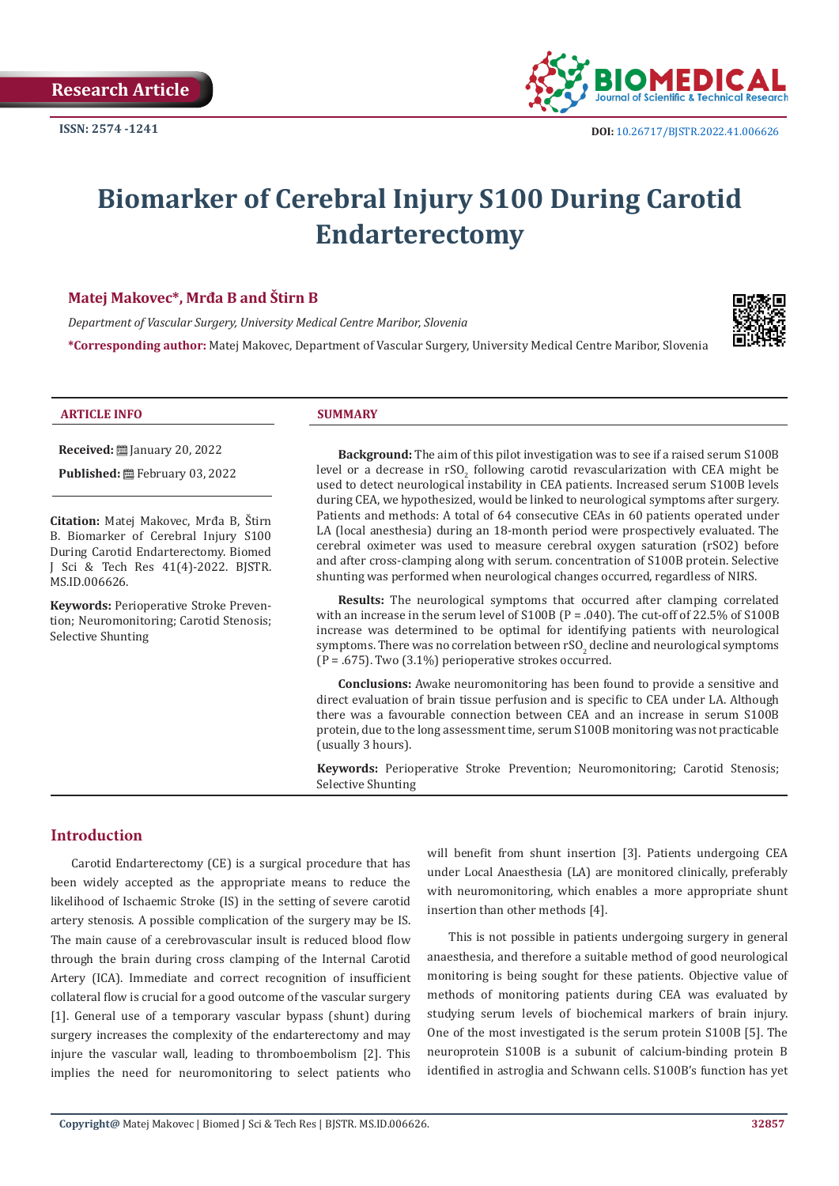

# **Biomarker of Cerebral Injury S100 During Carotid Endarterectomy**

# **Matej Makovec\*, Mrđa B and Štirn B**

*Department of Vascular Surgery, University Medical Centre Maribor, Slovenia*

**\*Corresponding author:** Matej Makovec, Department of Vascular Surgery, University Medical Centre Maribor, Slovenia



#### **ARTICLE INFO SUMMARY**

**Received:** ■ January 20, 2022

Published: **■**February 03, 2022

**Citation:** Matej Makovec, Mrđa B, Štirn B. Biomarker of Cerebral Injury S100 During Carotid Endarterectomy. Biomed J Sci & Tech Res 41(4)-2022. BJSTR. MS.ID.006626.

**Keywords:** Perioperative Stroke Prevention; Neuromonitoring; Carotid Stenosis; Selective Shunting

**Background:** The aim of this pilot investigation was to see if a raised serum S100B level or a decrease in  $rSO_2$  following carotid revascularization with CEA might be used to detect neurological instability in CEA patients. Increased serum S100B levels during CEA, we hypothesized, would be linked to neurological symptoms after surgery. Patients and methods: A total of 64 consecutive CEAs in 60 patients operated under LA (local anesthesia) during an 18-month period were prospectively evaluated. The cerebral oximeter was used to measure cerebral oxygen saturation (rSO2) before and after cross-clamping along with serum. concentration of S100B protein. Selective shunting was performed when neurological changes occurred, regardless of NIRS.

**Results:** The neurological symptoms that occurred after clamping correlated with an increase in the serum level of  $S100B (P = .040)$ . The cut-off of 22.5% of S100B increase was determined to be optimal for identifying patients with neurological symptoms. There was no correlation between  $\mathsf{r} \mathsf{S} \mathsf{U}_2$  decline and neurological symptoms  $(P = .675)$ . Two  $(3.1\%)$  perioperative strokes occurred.

**Conclusions:** Awake neuromonitoring has been found to provide a sensitive and direct evaluation of brain tissue perfusion and is specific to CEA under LA. Although there was a favourable connection between CEA and an increase in serum S100B protein, due to the long assessment time, serum S100B monitoring was not practicable (usually 3 hours).

**Keywords:** Perioperative Stroke Prevention; Neuromonitoring; Carotid Stenosis; Selective Shunting

# **Introduction**

Carotid Endarterectomy (CE) is a surgical procedure that has been widely accepted as the appropriate means to reduce the likelihood of Ischaemic Stroke (IS) in the setting of severe carotid artery stenosis. A possible complication of the surgery may be IS. The main cause of a cerebrovascular insult is reduced blood flow through the brain during cross clamping of the Internal Carotid Artery (ICA). Immediate and correct recognition of insufficient collateral flow is crucial for a good outcome of the vascular surgery [1]. General use of a temporary vascular bypass (shunt) during surgery increases the complexity of the endarterectomy and may injure the vascular wall, leading to thromboembolism [2]. This implies the need for neuromonitoring to select patients who

will benefit from shunt insertion [3]. Patients undergoing CEA under Local Anaesthesia (LA) are monitored clinically, preferably with neuromonitoring, which enables a more appropriate shunt insertion than other methods [4].

This is not possible in patients undergoing surgery in general anaesthesia, and therefore a suitable method of good neurological monitoring is being sought for these patients. Objective value of methods of monitoring patients during CEA was evaluated by studying serum levels of biochemical markers of brain injury. One of the most investigated is the serum protein S100B [5]. The neuroprotein S100B is a subunit of calcium-binding protein B identified in astroglia and Schwann cells. S100B's function has yet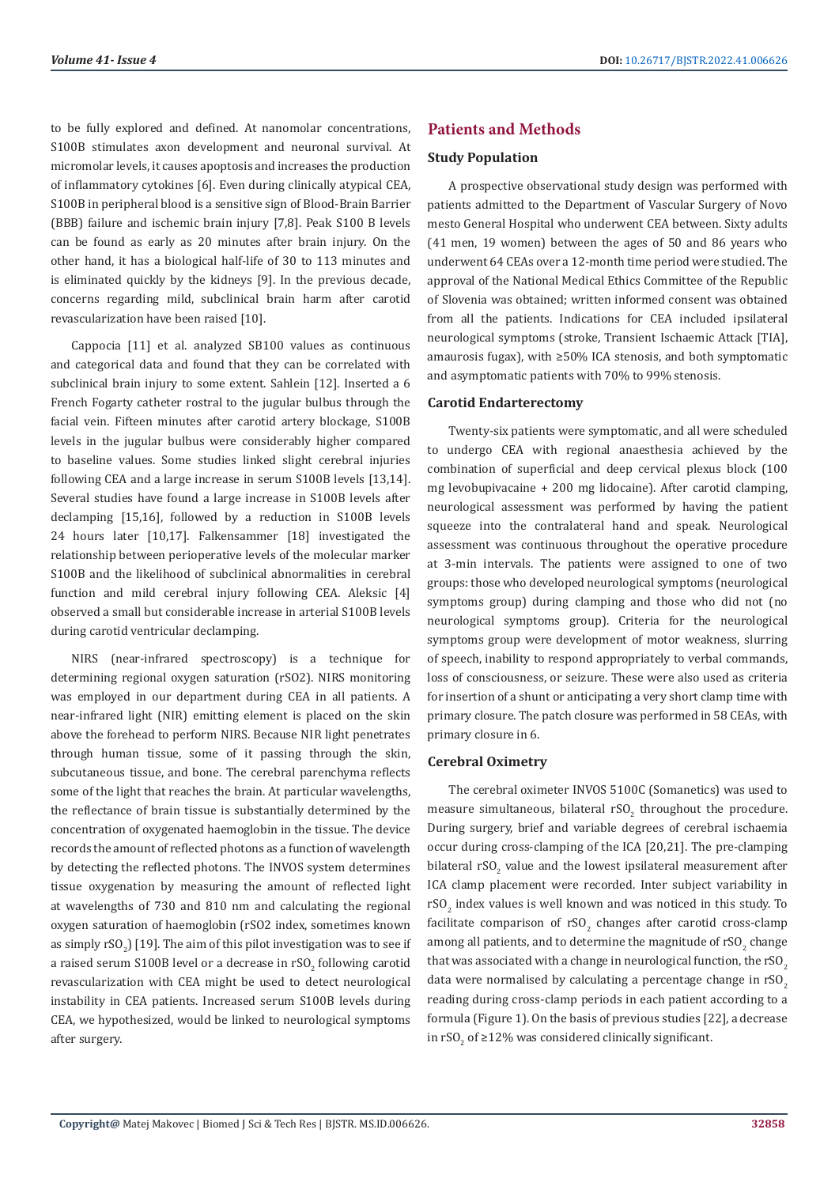to be fully explored and defined. At nanomolar concentrations, S100B stimulates axon development and neuronal survival. At micromolar levels, it causes apoptosis and increases the production of inflammatory cytokines [6]. Even during clinically atypical CEA, S100B in peripheral blood is a sensitive sign of Blood-Brain Barrier (BBB) failure and ischemic brain injury [7,8]. Peak S100 B levels can be found as early as 20 minutes after brain injury. On the other hand, it has a biological half-life of 30 to 113 minutes and is eliminated quickly by the kidneys [9]. In the previous decade, concerns regarding mild, subclinical brain harm after carotid revascularization have been raised [10].

Cappocia [11] et al. analyzed SB100 values as continuous and categorical data and found that they can be correlated with subclinical brain injury to some extent. Sahlein [12]. Inserted a 6 French Fogarty catheter rostral to the jugular bulbus through the facial vein. Fifteen minutes after carotid artery blockage, S100B levels in the jugular bulbus were considerably higher compared to baseline values. Some studies linked slight cerebral injuries following CEA and a large increase in serum S100B levels [13,14]. Several studies have found a large increase in S100B levels after declamping [15,16], followed by a reduction in S100B levels 24 hours later [10,17]. Falkensammer [18] investigated the relationship between perioperative levels of the molecular marker S100B and the likelihood of subclinical abnormalities in cerebral function and mild cerebral injury following CEA. Aleksic [4] observed a small but considerable increase in arterial S100B levels during carotid ventricular declamping.

NIRS (near-infrared spectroscopy) is a technique for determining regional oxygen saturation (rSO2). NIRS monitoring was employed in our department during CEA in all patients. A near-infrared light (NIR) emitting element is placed on the skin above the forehead to perform NIRS. Because NIR light penetrates through human tissue, some of it passing through the skin, subcutaneous tissue, and bone. The cerebral parenchyma reflects some of the light that reaches the brain. At particular wavelengths, the reflectance of brain tissue is substantially determined by the concentration of oxygenated haemoglobin in the tissue. The device records the amount of reflected photons as a function of wavelength by detecting the reflected photons. The INVOS system determines tissue oxygenation by measuring the amount of reflected light at wavelengths of 730 and 810 nm and calculating the regional oxygen saturation of haemoglobin (rSO2 index, sometimes known as simply  $\text{rSO}_2$ ) [19]. The aim of this pilot investigation was to see if a raised serum S100B level or a decrease in  $\mathsf{r} \mathsf{S} \mathsf{O}_2$  following carotid revascularization with CEA might be used to detect neurological instability in CEA patients. Increased serum S100B levels during CEA, we hypothesized, would be linked to neurological symptoms after surgery.

# **Patients and Methods**

# **Study Population**

A prospective observational study design was performed with patients admitted to the Department of Vascular Surgery of Novo mesto General Hospital who underwent CEA between. Sixty adults (41 men, 19 women) between the ages of 50 and 86 years who underwent 64 CEAs over a 12-month time period were studied. The approval of the National Medical Ethics Committee of the Republic of Slovenia was obtained; written informed consent was obtained from all the patients. Indications for CEA included ipsilateral neurological symptoms (stroke, Transient Ischaemic Attack [TIA], amaurosis fugax), with ≥50% ICA stenosis, and both symptomatic and asymptomatic patients with 70% to 99% stenosis.

# **Carotid Endarterectomy**

Twenty-six patients were symptomatic, and all were scheduled to undergo CEA with regional anaesthesia achieved by the combination of superficial and deep cervical plexus block (100 mg levobupivacaine + 200 mg lidocaine). After carotid clamping, neurological assessment was performed by having the patient squeeze into the contralateral hand and speak. Neurological assessment was continuous throughout the operative procedure at 3-min intervals. The patients were assigned to one of two groups: those who developed neurological symptoms (neurological symptoms group) during clamping and those who did not (no neurological symptoms group). Criteria for the neurological symptoms group were development of motor weakness, slurring of speech, inability to respond appropriately to verbal commands, loss of consciousness, or seizure. These were also used as criteria for insertion of a shunt or anticipating a very short clamp time with primary closure. The patch closure was performed in 58 CEAs, with primary closure in 6.

# **Cerebral Oximetry**

The cerebral oximeter INVOS 5100C (Somanetics) was used to measure simultaneous, bilateral rSO<sub>2</sub> throughout the procedure. During surgery, brief and variable degrees of cerebral ischaemia occur during cross-clamping of the ICA [20,21]. The pre-clamping bilateral  $rSO_2$  value and the lowest ipsilateral measurement after ICA clamp placement were recorded. Inter subject variability in  $rSO_2$  index values is well known and was noticed in this study. To facilitate comparison of  $rSO<sub>2</sub>$  changes after carotid cross-clamp among all patients, and to determine the magnitude of  $\mathrm{rSO}_2$  change that was associated with a change in neurological function, the  $rSO<sub>2</sub>$ data were normalised by calculating a percentage change in  $rSO<sub>2</sub>$ reading during cross-clamp periods in each patient according to a formula (Figure 1). On the basis of previous studies [22], a decrease in  $\text{rSO}_2$  of ≥12% was considered clinically significant.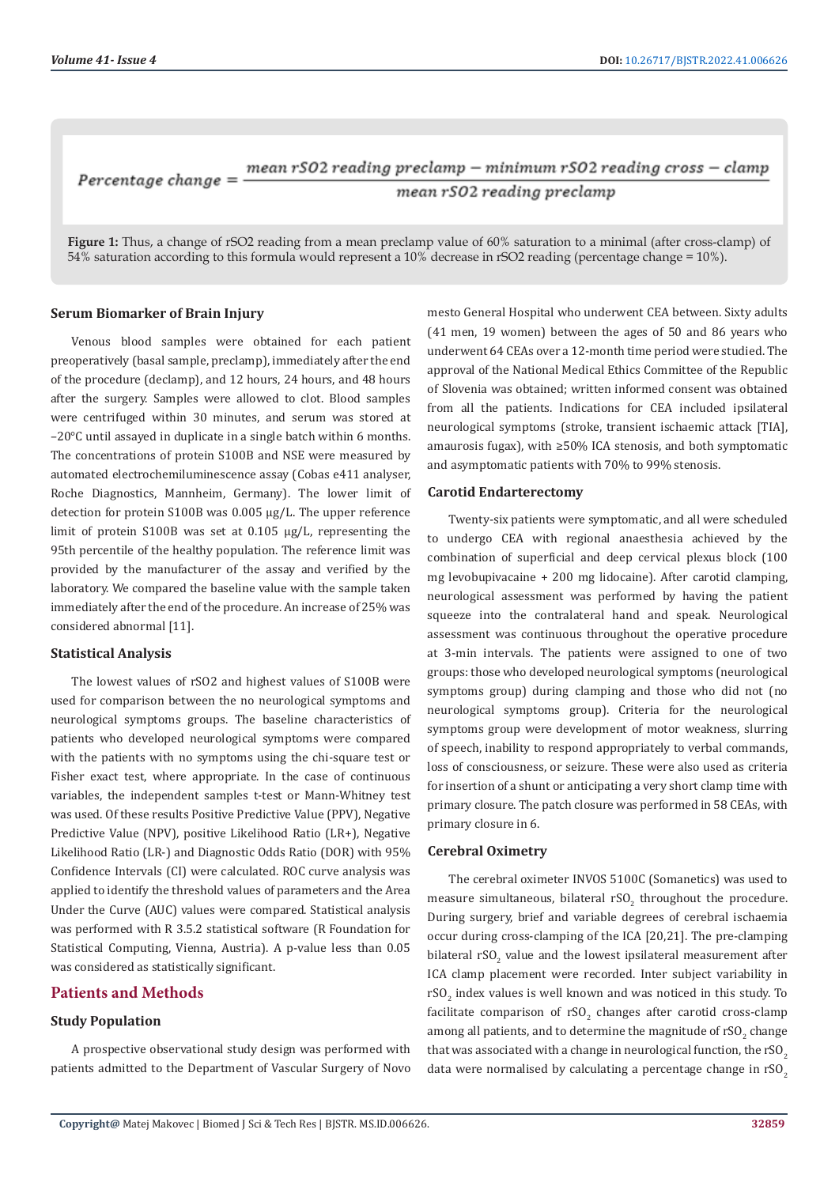#### $mean rSO2$  reading preclamp - minimum  $rSO2$  reading cross - clamp Percentage change  $=$ mean rSO2 reading preclamp

**Figure 1:** Thus, a change of rSO2 reading from a mean preclamp value of 60% saturation to a minimal (after cross-clamp) of 54% saturation according to this formula would represent a 10% decrease in rSO2 reading (percentage change = 10%).

# **Serum Biomarker of Brain Injury**

Venous blood samples were obtained for each patient preoperatively (basal sample, preclamp), immediately after the end of the procedure (declamp), and 12 hours, 24 hours, and 48 hours after the surgery. Samples were allowed to clot. Blood samples were centrifuged within 30 minutes, and serum was stored at –20°C until assayed in duplicate in a single batch within 6 months. The concentrations of protein S100B and NSE were measured by automated electrochemiluminescence assay (Cobas e411 analyser, Roche Diagnostics, Mannheim, Germany). The lower limit of detection for protein S100B was 0.005 µg/L. The upper reference limit of protein S100B was set at 0.105 µg/L, representing the 95th percentile of the healthy population. The reference limit was provided by the manufacturer of the assay and verified by the laboratory. We compared the baseline value with the sample taken immediately after the end of the procedure. An increase of 25% was considered abnormal [11].

# **Statistical Analysis**

The lowest values of rSO2 and highest values of S100B were used for comparison between the no neurological symptoms and neurological symptoms groups. The baseline characteristics of patients who developed neurological symptoms were compared with the patients with no symptoms using the chi-square test or Fisher exact test, where appropriate. In the case of continuous variables, the independent samples t-test or Mann-Whitney test was used. Of these results Positive Predictive Value (PPV), Negative Predictive Value (NPV), positive Likelihood Ratio (LR+), Negative Likelihood Ratio (LR-) and Diagnostic Odds Ratio (DOR) with 95% Confidence Intervals (CI) were calculated. ROC curve analysis was applied to identify the threshold values of parameters and the Area Under the Curve (AUC) values were compared. Statistical analysis was performed with R 3.5.2 statistical software (R Foundation for Statistical Computing, Vienna, Austria). A p-value less than 0.05 was considered as statistically significant.

# **Patients and Methods**

# **Study Population**

A prospective observational study design was performed with patients admitted to the Department of Vascular Surgery of Novo mesto General Hospital who underwent CEA between. Sixty adults (41 men, 19 women) between the ages of 50 and 86 years who underwent 64 CEAs over a 12-month time period were studied. The approval of the National Medical Ethics Committee of the Republic of Slovenia was obtained; written informed consent was obtained from all the patients. Indications for CEA included ipsilateral neurological symptoms (stroke, transient ischaemic attack [TIA], amaurosis fugax), with ≥50% ICA stenosis, and both symptomatic and asymptomatic patients with 70% to 99% stenosis.

# **Carotid Endarterectomy**

Twenty-six patients were symptomatic, and all were scheduled to undergo CEA with regional anaesthesia achieved by the combination of superficial and deep cervical plexus block (100 mg levobupivacaine + 200 mg lidocaine). After carotid clamping, neurological assessment was performed by having the patient squeeze into the contralateral hand and speak. Neurological assessment was continuous throughout the operative procedure at 3-min intervals. The patients were assigned to one of two groups: those who developed neurological symptoms (neurological symptoms group) during clamping and those who did not (no neurological symptoms group). Criteria for the neurological symptoms group were development of motor weakness, slurring of speech, inability to respond appropriately to verbal commands, loss of consciousness, or seizure. These were also used as criteria for insertion of a shunt or anticipating a very short clamp time with primary closure. The patch closure was performed in 58 CEAs, with primary closure in 6.

# **Cerebral Oximetry**

The cerebral oximeter INVOS 5100C (Somanetics) was used to measure simultaneous, bilateral rSO<sub>2</sub> throughout the procedure. During surgery, brief and variable degrees of cerebral ischaemia occur during cross-clamping of the ICA [20,21]. The pre-clamping bilateral  $rSO_2$  value and the lowest ipsilateral measurement after ICA clamp placement were recorded. Inter subject variability in  $rSO_2$  index values is well known and was noticed in this study. To facilitate comparison of  $rSO<sub>2</sub>$  changes after carotid cross-clamp among all patients, and to determine the magnitude of  $\mathrm{rSO}_2$  change that was associated with a change in neurological function, the  $rSO<sub>2</sub>$ data were normalised by calculating a percentage change in  $rSO<sub>2</sub>$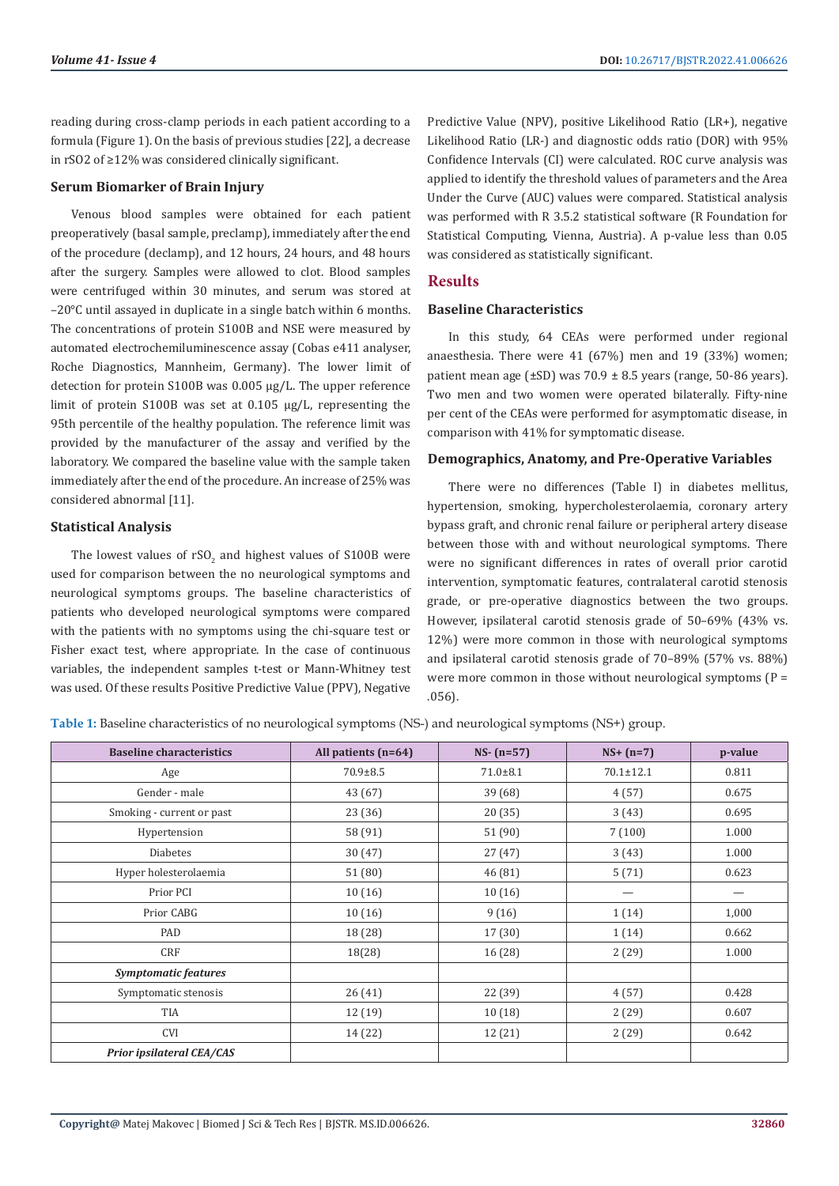reading during cross-clamp periods in each patient according to a formula (Figure 1). On the basis of previous studies [22], a decrease in rSO2 of ≥12% was considered clinically significant.

# **Serum Biomarker of Brain Injury**

Venous blood samples were obtained for each patient preoperatively (basal sample, preclamp), immediately after the end of the procedure (declamp), and 12 hours, 24 hours, and 48 hours after the surgery. Samples were allowed to clot. Blood samples were centrifuged within 30 minutes, and serum was stored at –20°C until assayed in duplicate in a single batch within 6 months. The concentrations of protein S100B and NSE were measured by automated electrochemiluminescence assay (Cobas e411 analyser, Roche Diagnostics, Mannheim, Germany). The lower limit of detection for protein S100B was 0.005 μg/L. The upper reference limit of protein S100B was set at 0.105 µg/L, representing the 95th percentile of the healthy population. The reference limit was provided by the manufacturer of the assay and verified by the laboratory. We compared the baseline value with the sample taken immediately after the end of the procedure. An increase of 25% was considered abnormal [11].

# **Statistical Analysis**

The lowest values of  $rSO<sub>2</sub>$  and highest values of S100B were used for comparison between the no neurological symptoms and neurological symptoms groups. The baseline characteristics of patients who developed neurological symptoms were compared with the patients with no symptoms using the chi-square test or Fisher exact test, where appropriate. In the case of continuous variables, the independent samples t-test or Mann-Whitney test was used. Of these results Positive Predictive Value (PPV), Negative

Predictive Value (NPV), positive Likelihood Ratio (LR+), negative Likelihood Ratio (LR-) and diagnostic odds ratio (DOR) with 95% Confidence Intervals (CI) were calculated. ROC curve analysis was applied to identify the threshold values of parameters and the Area Under the Curve (AUC) values were compared. Statistical analysis was performed with R 3.5.2 statistical software (R Foundation for Statistical Computing, Vienna, Austria). A p-value less than 0.05 was considered as statistically significant.

# **Results**

# **Baseline Characteristics**

In this study, 64 CEAs were performed under regional anaesthesia. There were 41 (67%) men and 19 (33%) women; patient mean age  $(\pm SD)$  was 70.9  $\pm$  8.5 years (range, 50-86 years). Two men and two women were operated bilaterally. Fifty-nine per cent of the CEAs were performed for asymptomatic disease, in comparison with 41% for symptomatic disease.

# **Demographics, Anatomy, and Pre-Operative Variables**

There were no differences (Table I) in diabetes mellitus, hypertension, smoking, hypercholesterolaemia, coronary artery bypass graft, and chronic renal failure or peripheral artery disease between those with and without neurological symptoms. There were no significant differences in rates of overall prior carotid intervention, symptomatic features, contralateral carotid stenosis grade, or pre-operative diagnostics between the two groups. However, ipsilateral carotid stenosis grade of 50–69% (43% vs. 12%) were more common in those with neurological symptoms and ipsilateral carotid stenosis grade of 70–89% (57% vs. 88%) were more common in those without neurological symptoms  $(P =$ .056).

**Table 1:** Baseline characteristics of no neurological symptoms (NS-) and neurological symptoms (NS+) group.

| <b>Baseline characteristics</b> | All patients $(n=64)$ | $NS - (n=57)$  | $NS+ (n=7)$     | p-value |
|---------------------------------|-----------------------|----------------|-----------------|---------|
| Age                             | $70.9 \pm 8.5$        | $71.0 \pm 8.1$ | $70.1 \pm 12.1$ | 0.811   |
| Gender - male                   | 43 (67)               | 39(68)         | 4(57)           | 0.675   |
| Smoking - current or past       | 23 (36)               | 20(35)         | 3(43)           | 0.695   |
| Hypertension                    | 58 (91)               | 51 (90)        | 7(100)          | 1.000   |
| <b>Diabetes</b>                 | 30 (47)               | 27(47)         | 3(43)           | 1.000   |
| Hyper holesterolaemia           | 51 (80)               | 46 (81)        | 5(71)           | 0.623   |
| Prior PCI                       | 10(16)                | 10(16)         |                 |         |
| Prior CABG                      | 10(16)                | 9(16)          | 1(14)           | 1,000   |
| PAD                             | 18 (28)               | 17(30)         | 1(14)           | 0.662   |
| <b>CRF</b>                      | 18(28)                | 16 (28)        | 2(29)           | 1.000   |
| <b>Symptomatic features</b>     |                       |                |                 |         |
| Symptomatic stenosis            | 26(41)                | 22 (39)        | 4(57)           | 0.428   |
| TIA                             | 12 (19)               | 10(18)         | 2(29)           | 0.607   |
| CVI                             | 14 (22)               | 12 (21)        | 2(29)           | 0.642   |
| Prior ipsilateral CEA/CAS       |                       |                |                 |         |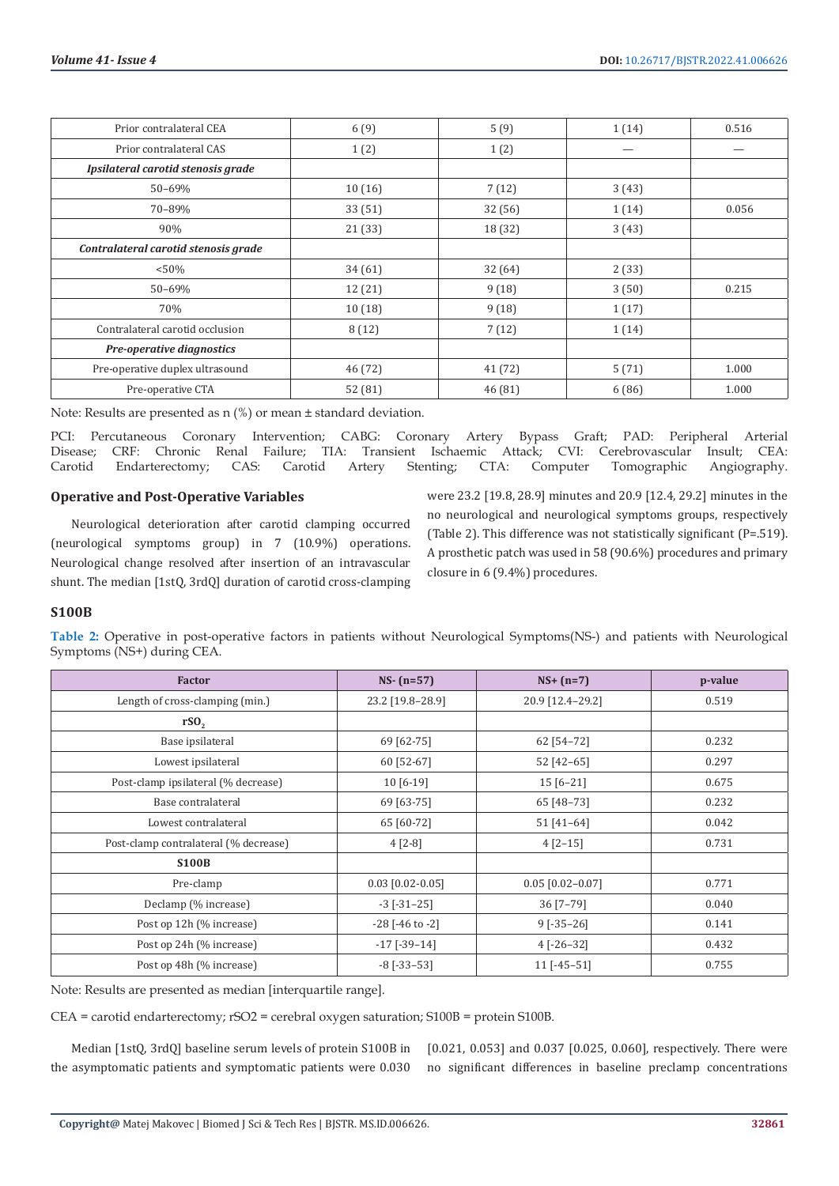| Prior contralateral CEA              | 6(9)    | 5(9)    | 1(14) | 0.516 |
|--------------------------------------|---------|---------|-------|-------|
| Prior contralateral CAS              | 1(2)    | 1(2)    | –     |       |
| Ipsilateral carotid stenosis grade   |         |         |       |       |
| $50 - 69%$                           | 10(16)  | 7(12)   | 3(43) |       |
| 70-89%                               | 33 (51) | 32 (56) | 1(14) | 0.056 |
| 90%                                  | 21(33)  | 18 (32) | 3(43) |       |
| Contralateral carotid stenosis grade |         |         |       |       |
| $< 50\%$                             | 34(61)  | 32 (64) | 2(33) |       |
| $50 - 69%$                           | 12 (21) | 9(18)   | 3(50) | 0.215 |
| 70%                                  | 10(18)  | 9(18)   | 1(17) |       |
| Contralateral carotid occlusion      | 8(12)   | 7(12)   | 1(14) |       |
| Pre-operative diagnostics            |         |         |       |       |
| Pre-operative duplex ultrasound      | 46 (72) | 41 (72) | 5(71) | 1.000 |
| Pre-operative CTA                    | 52 (81) | 46(81)  | 6(86) | 1.000 |
|                                      |         |         |       |       |

Note: Results are presented as n (%) or mean ± standard deviation.

PCI: Percutaneous Coronary Intervention; CABG: Coronary Artery Bypass Graft; PAD: Peripheral Arterial Disease; CRF: Chronic Renal Failure; TIA: Transient Ischaemic Attack; CVI: Cerebrovascular Insult; CEA: Carotid Endarterectomy; CAS: Carotid Artery Stenting; CTA: Computer Tomographic Angiography.

# **Operative and Post-Operative Variables**

Neurological deterioration after carotid clamping occurred (neurological symptoms group) in 7 (10.9%) operations. Neurological change resolved after insertion of an intravascular shunt. The median [1stQ, 3rdQ] duration of carotid cross-clamping were 23.2 [19.8, 28.9] minutes and 20.9 [12.4, 29.2] minutes in the no neurological and neurological symptoms groups, respectively (Table 2). This difference was not statistically significant (P=.519). A prosthetic patch was used in 58 (90.6%) procedures and primary closure in 6 (9.4%) procedures.

#### **S100B**

**Table 2:** Operative in post-operative factors in patients without Neurological Symptoms(NS-) and patients with Neurological Symptoms (NS+) during CEA.

| <b>Factor</b>                         | $NS - (n=57)$           | $NS+ (n=7)$        | p-value |
|---------------------------------------|-------------------------|--------------------|---------|
| Length of cross-clamping (min.)       | 23.2 [19.8-28.9]        | 20.9 [12.4-29.2]   | 0.519   |
| rSO <sub>2</sub>                      |                         |                    |         |
| Base ipsilateral                      | 69 [62-75]              | 62 [54-72]         | 0.232   |
| Lowest ipsilateral                    | 60 [52-67]              | 52 [42-65]         | 0.297   |
| Post-clamp ipsilateral (% decrease)   | 10 [6-19]               | $15[6-21]$         | 0.675   |
| Base contralateral                    | 69 [63-75]              | 65 [48-73]         | 0.232   |
| Lowest contralateral                  | 65 [60-72]              | $51[41-64]$        | 0.042   |
| Post-clamp contralateral (% decrease) | $4[2-8]$                | $4 [2 - 15]$       | 0.731   |
| <b>S100B</b>                          |                         |                    |         |
| Pre-clamp                             | $0.03$ [0.02-0.05]      | $0.05$ [0.02-0.07] | 0.771   |
| Declamp (% increase)                  | $-3$ [ $-31-25$ ]       | $36$ [7-79]        | 0.040   |
| Post op 12h (% increase)              | $-28$ [ $-46$ to $-2$ ] | $9$ [-35-26]       | 0.141   |
| Post op 24h (% increase)              | $-17$ [ $-39-14$ ]      | $4[-26-32]$        | 0.432   |
| Post op 48h (% increase)              | $-8$ [ $-33-53$ ]       | $11$ [-45-51]      | 0.755   |

Note: Results are presented as median [interquartile range].

CEA = carotid endarterectomy; rSO2 = cerebral oxygen saturation; S100B = protein S100B.

Median [1stQ, 3rdQ] baseline serum levels of protein S100B in the asymptomatic patients and symptomatic patients were 0.030

[0.021, 0.053] and 0.037 [0.025, 0.060], respectively. There were no significant differences in baseline preclamp concentrations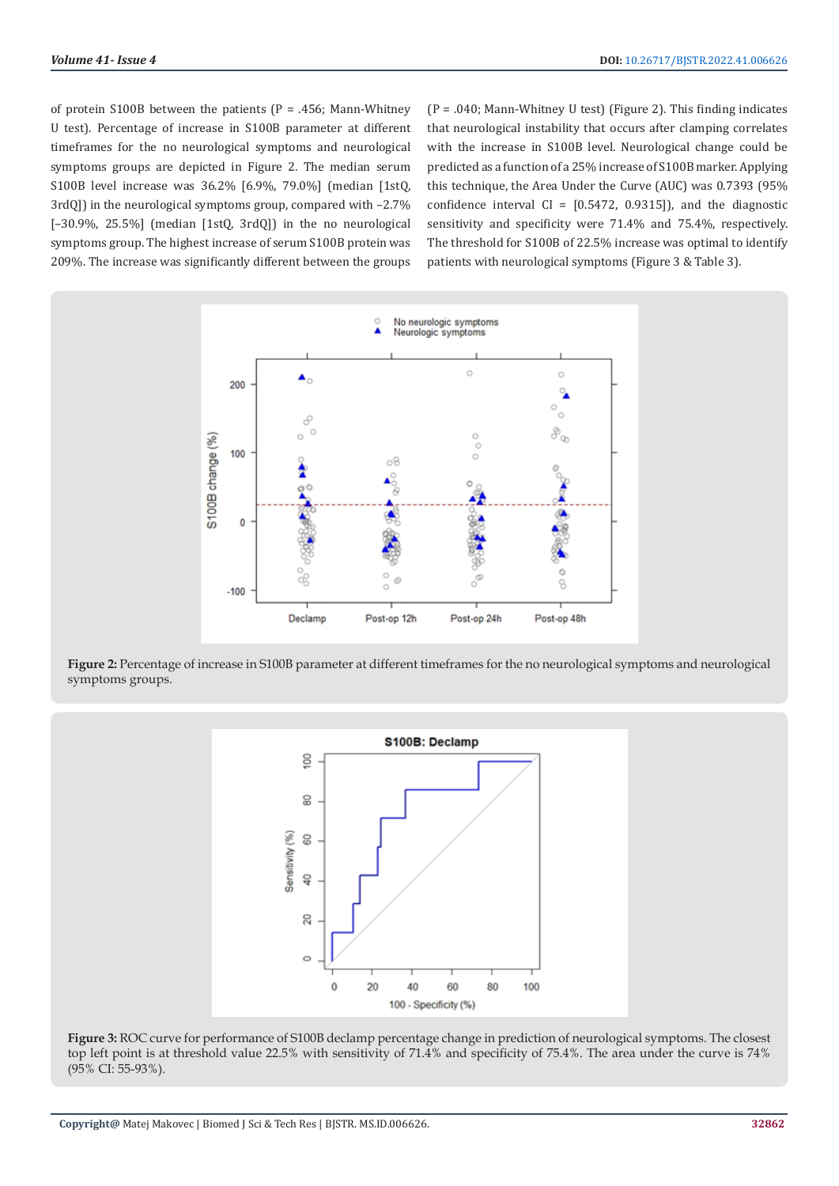of protein S100B between the patients ( $P = .456$ ; Mann-Whitney U test). Percentage of increase in S100B parameter at different timeframes for the no neurological symptoms and neurological symptoms groups are depicted in Figure 2. The median serum S100B level increase was 36.2% [6.9%, 79.0%] (median [1stQ, 3rdQ]) in the neurological symptoms group, compared with –2.7% [–30.9%, 25.5%] (median [1stQ, 3rdQ]) in the no neurological symptoms group. The highest increase of serum S100B protein was 209%. The increase was significantly different between the groups

(P = .040; Mann-Whitney U test) (Figure 2). This finding indicates that neurological instability that occurs after clamping correlates with the increase in S100B level. Neurological change could be predicted as a function of a 25% increase of S100B marker. Applying this technique, the Area Under the Curve (AUC) was 0.7393 (95% confidence interval CI =  $[0.5472, 0.9315]$ , and the diagnostic sensitivity and specificity were 71.4% and 75.4%, respectively. The threshold for S100B of 22.5% increase was optimal to identify patients with neurological symptoms (Figure 3 & Table 3).



**Figure 2:** Percentage of increase in S100B parameter at different timeframes for the no neurological symptoms and neurological symptoms groups.



**Figure 3:** ROC curve for performance of S100B declamp percentage change in prediction of neurological symptoms. The closest top left point is at threshold value 22.5% with sensitivity of 71.4% and specificity of 75.4%. The area under the curve is 74% (95% CI: 55-93%).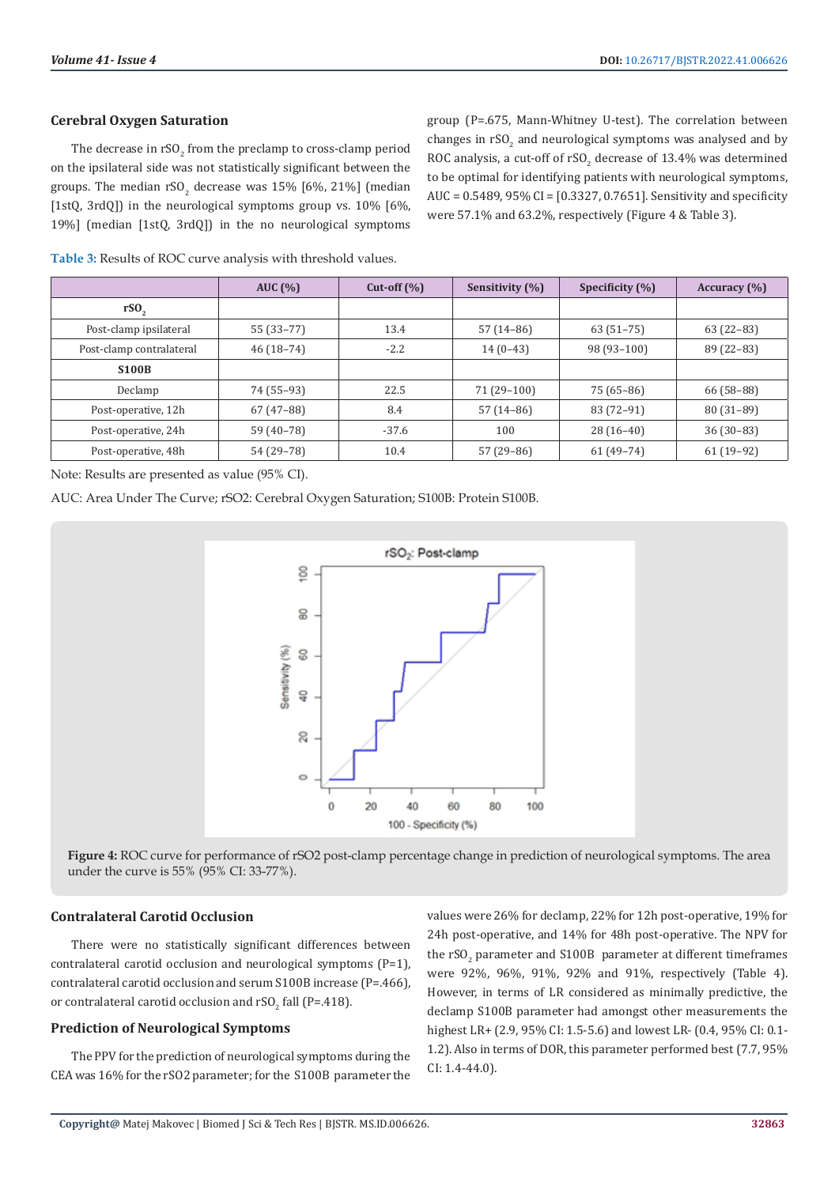# **Cerebral Oxygen Saturation**

The decrease in  $rSO_2$  from the preclamp to cross-clamp period on the ipsilateral side was not statistically significant between the groups. The median  $rSO_2$  decrease was  $15\%$  [6%, 21%] (median [1stQ, 3rdQ]) in the neurological symptoms group vs. 10% [6%, 19%] (median [1stQ, 3rdQ]) in the no neurological symptoms

group (P=.675, Mann-Whitney U-test). The correlation between changes in  $rSO_2$  and neurological symptoms was analysed and by ROC analysis, a cut-off of  $rSO_2$  decrease of  $13.4\%$  was determined to be optimal for identifying patients with neurological symptoms, AUC = 0.5489, 95% CI = [0.3327, 0.7651]. Sensitivity and specificity were 57.1% and 63.2%, respectively (Figure 4 & Table 3).

|                          | AUC $(% )$  | Cut-off $(\% )$ | Sensitivity (%) | Specificity (%) | Accuracy $(\% )$ |
|--------------------------|-------------|-----------------|-----------------|-----------------|------------------|
| $rSO_{2}$                |             |                 |                 |                 |                  |
| Post-clamp ipsilateral   | 55 (33–77)  | 13.4            | $57(14-86)$     | $63(51-75)$     | $63(22-83)$      |
| Post-clamp contralateral | $46(18-74)$ | $-2.2$          | $14(0-43)$      | $98(93-100)$    | 89 (22–83)       |
| <b>S100B</b>             |             |                 |                 |                 |                  |
| Declamp                  | 74 (55–93)  | 22.5            | $71(29-100)$    | $75(65-86)$     | $66(58-88)$      |
| Post-operative, 12h      | $67(47-88)$ | 8.4             | $57(14-86)$     | 83 (72-91)      | $80(31-89)$      |
| Post-operative, 24h      | 59 (40-78)  | $-37.6$         | 100             | $28(16-40)$     | $36(30-83)$      |
| Post-operative, 48h      | 54 (29–78)  | 10.4            | $57(29-86)$     | $61(49-74)$     | $61(19-92)$      |

**Table 3:** Results of ROC curve analysis with threshold values.

Note: Results are presented as value (95% CI).

AUC: Area Under The Curve; rSO2: Cerebral Oxygen Saturation; S100B: Protein S100B.



**Figure 4:** ROC curve for performance of rSO2 post-clamp percentage change in prediction of neurological symptoms. The area under the curve is 55% (95% CI: 33-77%).

# **Contralateral Carotid Occlusion**

There were no statistically significant differences between contralateral carotid occlusion and neurological symptoms (P=1), contralateral carotid occlusion and serum S100B increase (P=.466), or contralateral carotid occlusion and  $rSO_{2}$  fall (P=.418).

# **Prediction of Neurological Symptoms**

The PPV for the prediction of neurological symptoms during the CEA was 16% for the rSO2 parameter; for the S100B parameter the values were 26% for declamp, 22% for 12h post-operative, 19% for 24h post-operative, and 14% for 48h post-operative. The NPV for the  $rSO_2$  parameter and S100B  $\,$  parameter at different timeframes were 92%, 96%, 91%, 92% and 91%, respectively (Table 4). However, in terms of LR considered as minimally predictive, the declamp S100B parameter had amongst other measurements the highest LR+ (2.9, 95% CI: 1.5-5.6) and lowest LR- (0.4, 95% CI: 0.1- 1.2). Also in terms of DOR, this parameter performed best (7.7, 95% CI: 1.4-44.0).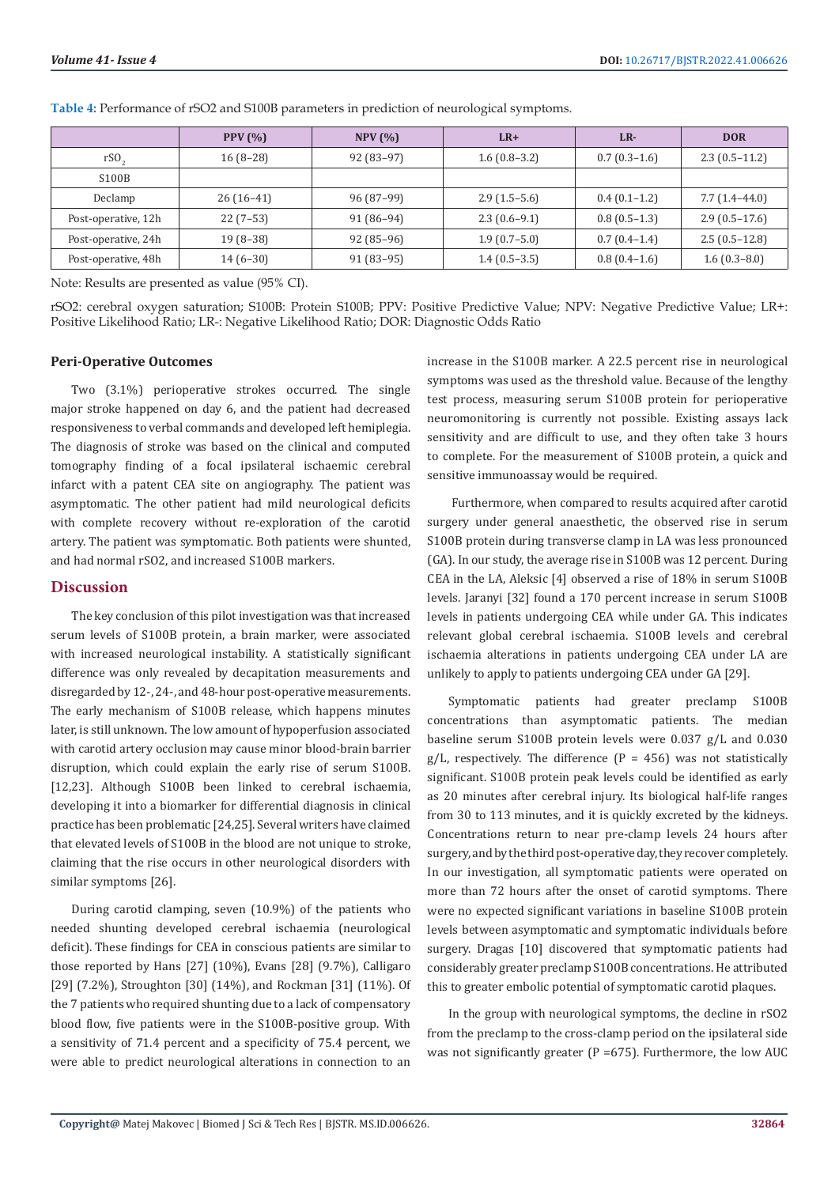|                     | PPV $(\% )$ | NPV(%)      | $LR+$          | LR-            | <b>DOR</b>      |
|---------------------|-------------|-------------|----------------|----------------|-----------------|
| rSO,                | $16(8-28)$  | $92(83-97)$ | $1.6(0.8-3.2)$ | $0.7(0.3-1.6)$ | $2.3(0.5-11.2)$ |
| S <sub>100</sub> B  |             |             |                |                |                 |
| Declamp             | $26(16-41)$ | $96(87-99)$ | $2.9(1.5-5.6)$ | $0.4(0.1-1.2)$ | $7.7(1.4-44.0)$ |
| Post-operative, 12h | $22(7-53)$  | $91(86-94)$ | $2.3(0.6-9.1)$ | $0.8(0.5-1.3)$ | $2.9(0.5-17.6)$ |
| Post-operative, 24h | 19 (8–38)   | $92(85-96)$ | $1.9(0.7-5.0)$ | $0.7(0.4-1.4)$ | $2.5(0.5-12.8)$ |
| Post-operative, 48h | $14(6-30)$  | $91(83-95)$ | $1.4(0.5-3.5)$ | $0.8(0.4-1.6)$ | $1.6(0.3-8.0)$  |

**Table 4:** Performance of rSO2 and S100B parameters in prediction of neurological symptoms.

Note: Results are presented as value (95% CI).

rSO2: cerebral oxygen saturation; S100B: Protein S100B; PPV: Positive Predictive Value; NPV: Negative Predictive Value; LR+: Positive Likelihood Ratio; LR-: Negative Likelihood Ratio; DOR: Diagnostic Odds Ratio

#### **Peri-Operative Outcomes**

Two (3.1%) perioperative strokes occurred. The single major stroke happened on day 6, and the patient had decreased responsiveness to verbal commands and developed left hemiplegia. The diagnosis of stroke was based on the clinical and computed tomography finding of a focal ipsilateral ischaemic cerebral infarct with a patent CEA site on angiography. The patient was asymptomatic. The other patient had mild neurological deficits with complete recovery without re-exploration of the carotid artery. The patient was symptomatic. Both patients were shunted, and had normal rSO2, and increased S100B markers.

# **Discussion**

The key conclusion of this pilot investigation was that increased serum levels of S100B protein, a brain marker, were associated with increased neurological instability. A statistically significant difference was only revealed by decapitation measurements and disregarded by 12-, 24-, and 48-hour post-operative measurements. The early mechanism of S100B release, which happens minutes later, is still unknown. The low amount of hypoperfusion associated with carotid artery occlusion may cause minor blood-brain barrier disruption, which could explain the early rise of serum S100B. [12,23]. Although S100B been linked to cerebral ischaemia, developing it into a biomarker for differential diagnosis in clinical practice has been problematic [24,25]. Several writers have claimed that elevated levels of S100B in the blood are not unique to stroke, claiming that the rise occurs in other neurological disorders with similar symptoms [26].

During carotid clamping, seven (10.9%) of the patients who needed shunting developed cerebral ischaemia (neurological deficit). These findings for CEA in conscious patients are similar to those reported by Hans [27] (10%), Evans [28] (9.7%), Calligaro [29] (7.2%), Stroughton [30] (14%), and Rockman [31] (11%). Of the 7 patients who required shunting due to a lack of compensatory blood flow, five patients were in the S100B-positive group. With a sensitivity of 71.4 percent and a specificity of 75.4 percent, we were able to predict neurological alterations in connection to an

increase in the S100B marker. A 22.5 percent rise in neurological symptoms was used as the threshold value. Because of the lengthy test process, measuring serum S100B protein for perioperative neuromonitoring is currently not possible. Existing assays lack sensitivity and are difficult to use, and they often take 3 hours to complete. For the measurement of S100B protein, a quick and sensitive immunoassay would be required.

 Furthermore, when compared to results acquired after carotid surgery under general anaesthetic, the observed rise in serum S100B protein during transverse clamp in LA was less pronounced (GA). In our study, the average rise in S100B was 12 percent. During CEA in the LA, Aleksic [4] observed a rise of 18% in serum S100B levels. Jaranyi [32] found a 170 percent increase in serum S100B levels in patients undergoing CEA while under GA. This indicates relevant global cerebral ischaemia. S100B levels and cerebral ischaemia alterations in patients undergoing CEA under LA are unlikely to apply to patients undergoing CEA under GA [29].

Symptomatic patients had greater preclamp S100B concentrations than asymptomatic patients. The median baseline serum S100B protein levels were 0.037 g/L and 0.030  $g/L$ , respectively. The difference (P = 456) was not statistically significant. S100B protein peak levels could be identified as early as 20 minutes after cerebral injury. Its biological half-life ranges from 30 to 113 minutes, and it is quickly excreted by the kidneys. Concentrations return to near pre-clamp levels 24 hours after surgery, and by the third post-operative day, they recover completely. In our investigation, all symptomatic patients were operated on more than 72 hours after the onset of carotid symptoms. There were no expected significant variations in baseline S100B protein levels between asymptomatic and symptomatic individuals before surgery. Dragas [10] discovered that symptomatic patients had considerably greater preclamp S100B concentrations. He attributed this to greater embolic potential of symptomatic carotid plaques.

In the group with neurological symptoms, the decline in rSO2 from the preclamp to the cross-clamp period on the ipsilateral side was not significantly greater (P =675). Furthermore, the low AUC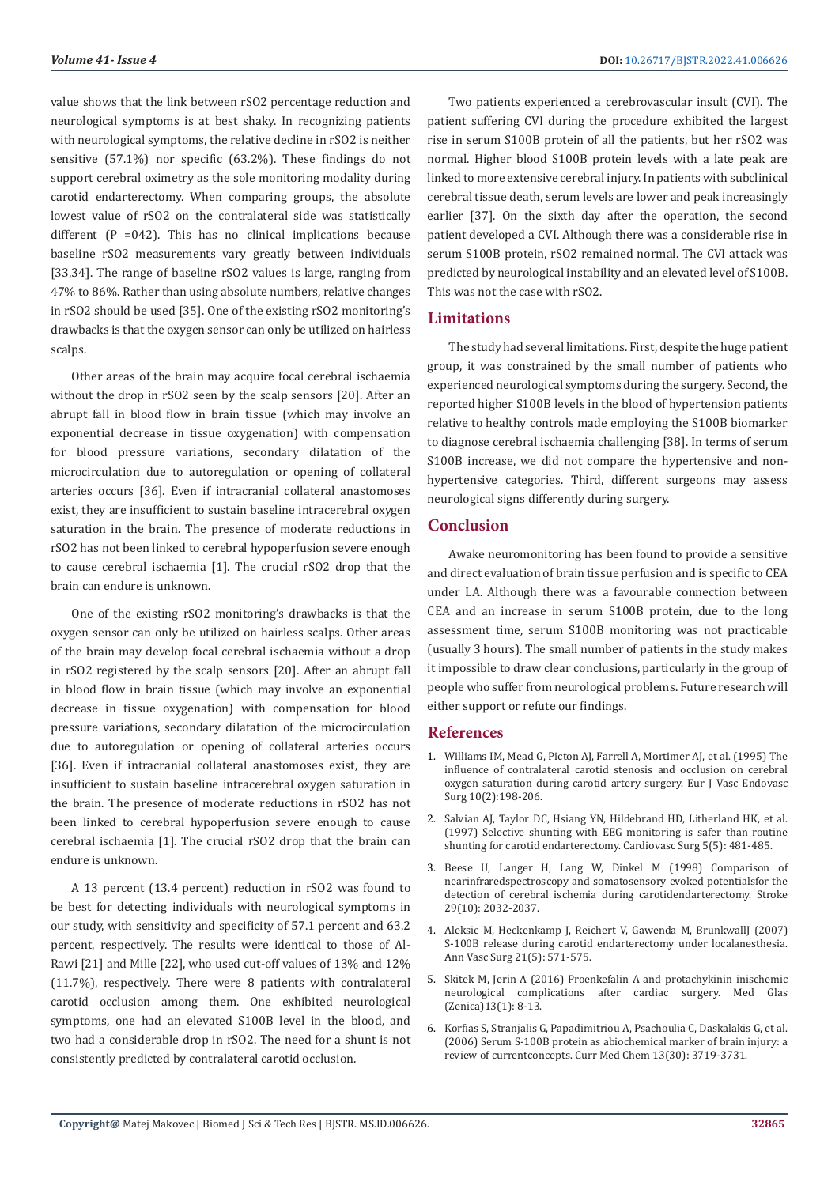value shows that the link between rSO2 percentage reduction and neurological symptoms is at best shaky. In recognizing patients with neurological symptoms, the relative decline in rSO2 is neither sensitive (57.1%) nor specific (63.2%). These findings do not support cerebral oximetry as the sole monitoring modality during carotid endarterectomy. When comparing groups, the absolute lowest value of rSO2 on the contralateral side was statistically different  $(P = 042)$ . This has no clinical implications because baseline rSO2 measurements vary greatly between individuals [33,34]. The range of baseline rSO2 values is large, ranging from 47% to 86%. Rather than using absolute numbers, relative changes in rSO2 should be used [35]. One of the existing rSO2 monitoring's drawbacks is that the oxygen sensor can only be utilized on hairless scalps.

Other areas of the brain may acquire focal cerebral ischaemia without the drop in rSO2 seen by the scalp sensors [20]. After an abrupt fall in blood flow in brain tissue (which may involve an exponential decrease in tissue oxygenation) with compensation for blood pressure variations, secondary dilatation of the microcirculation due to autoregulation or opening of collateral arteries occurs [36]. Even if intracranial collateral anastomoses exist, they are insufficient to sustain baseline intracerebral oxygen saturation in the brain. The presence of moderate reductions in rSO2 has not been linked to cerebral hypoperfusion severe enough to cause cerebral ischaemia [1]. The crucial rSO2 drop that the brain can endure is unknown.

One of the existing rSO2 monitoring's drawbacks is that the oxygen sensor can only be utilized on hairless scalps. Other areas of the brain may develop focal cerebral ischaemia without a drop in rSO2 registered by the scalp sensors [20]. After an abrupt fall in blood flow in brain tissue (which may involve an exponential decrease in tissue oxygenation) with compensation for blood pressure variations, secondary dilatation of the microcirculation due to autoregulation or opening of collateral arteries occurs [36]. Even if intracranial collateral anastomoses exist, they are insufficient to sustain baseline intracerebral oxygen saturation in the brain. The presence of moderate reductions in rSO2 has not been linked to cerebral hypoperfusion severe enough to cause cerebral ischaemia [1]. The crucial rSO2 drop that the brain can endure is unknown.

A 13 percent (13.4 percent) reduction in rSO2 was found to be best for detecting individuals with neurological symptoms in our study, with sensitivity and specificity of 57.1 percent and 63.2 percent, respectively. The results were identical to those of Al-Rawi [21] and Mille [22], who used cut-off values of 13% and 12% (11.7%), respectively. There were 8 patients with contralateral carotid occlusion among them. One exhibited neurological symptoms, one had an elevated S100B level in the blood, and two had a considerable drop in rSO2. The need for a shunt is not consistently predicted by contralateral carotid occlusion.

Two patients experienced a cerebrovascular insult (CVI). The patient suffering CVI during the procedure exhibited the largest rise in serum S100B protein of all the patients, but her rSO2 was normal. Higher blood S100B protein levels with a late peak are linked to more extensive cerebral injury. In patients with subclinical cerebral tissue death, serum levels are lower and peak increasingly earlier [37]. On the sixth day after the operation, the second patient developed a CVI. Although there was a considerable rise in serum S100B protein, rSO2 remained normal. The CVI attack was predicted by neurological instability and an elevated level of S100B. This was not the case with rSO2.

# **Limitations**

The study had several limitations. First, despite the huge patient group, it was constrained by the small number of patients who experienced neurological symptoms during the surgery. Second, the reported higher S100B levels in the blood of hypertension patients relative to healthy controls made employing the S100B biomarker to diagnose cerebral ischaemia challenging [38]. In terms of serum S100B increase, we did not compare the hypertensive and nonhypertensive categories. Third, different surgeons may assess neurological signs differently during surgery.

# **Conclusion**

Awake neuromonitoring has been found to provide a sensitive and direct evaluation of brain tissue perfusion and is specific to CEA under LA. Although there was a favourable connection between CEA and an increase in serum S100B protein, due to the long assessment time, serum S100B monitoring was not practicable (usually 3 hours). The small number of patients in the study makes it impossible to draw clear conclusions, particularly in the group of people who suffer from neurological problems. Future research will either support or refute our findings.

# **References**

- 1. [Williams IM, Mead G, Picton AJ, Farrell A, Mortimer AJ, et al. \(1995\) The](https://pubmed.ncbi.nlm.nih.gov/7655972/) [influence of contralateral carotid stenosis and occlusion on cerebral](https://pubmed.ncbi.nlm.nih.gov/7655972/) [oxygen saturation during carotid artery surgery. Eur J Vasc Endovasc](https://pubmed.ncbi.nlm.nih.gov/7655972/) [Surg 10\(2\):198-206.](https://pubmed.ncbi.nlm.nih.gov/7655972/)
- 2. Salvian AJ, Taylor DC, Hsiang YN, Hildebrand HD, Litherland HK, et al. (1997) Selective shunting with EEG monitoring is safer than routine shunting for carotid endarterectomy. Cardiovasc Surg 5(5): 481-485.
- 3. [Beese U, Langer H, Lang W, Dinkel M \(1998\) Comparison of](https://pubmed.ncbi.nlm.nih.gov/9756577/) [nearinfraredspectroscopy and somatosensory evoked potentialsfor the](https://pubmed.ncbi.nlm.nih.gov/9756577/) [detection of cerebral ischemia during carotidendarterectomy. Stroke](https://pubmed.ncbi.nlm.nih.gov/9756577/) [29\(10\): 2032-2037.](https://pubmed.ncbi.nlm.nih.gov/9756577/)
- 4. [Aleksic M, Heckenkamp J, Reichert V, Gawenda M, BrunkwallJ \(2007\)](https://www.researchgate.net/publication/6310692_S-100B_Release_during_Carotid_Endarterectomy_under_Local_Anesthesia) [S-100B release during carotid endarterectomy under localanesthesia.](https://www.researchgate.net/publication/6310692_S-100B_Release_during_Carotid_Endarterectomy_under_Local_Anesthesia) [Ann Vasc Surg 21\(5\): 571-575.](https://www.researchgate.net/publication/6310692_S-100B_Release_during_Carotid_Endarterectomy_under_Local_Anesthesia)
- 5. [Skitek M, Jerin A \(2016\) Proenkefalin A and protachykinin inischemic](https://pubmed.ncbi.nlm.nih.gov/26827702/) [neurological complications after cardiac surgery. Med Glas](https://pubmed.ncbi.nlm.nih.gov/26827702/) [\(Zenica\)13\(1\): 8-13.](https://pubmed.ncbi.nlm.nih.gov/26827702/)
- 6. [Korfias S, Stranjalis G, Papadimitriou A, Psachoulia C, Daskalakis G, et al.](https://pubmed.ncbi.nlm.nih.gov/17168733/) [\(2006\) Serum S-100B protein as abiochemical marker of brain injury: a](https://pubmed.ncbi.nlm.nih.gov/17168733/) [review of currentconcepts. Curr Med Chem 13\(30\): 3719-3731.](https://pubmed.ncbi.nlm.nih.gov/17168733/)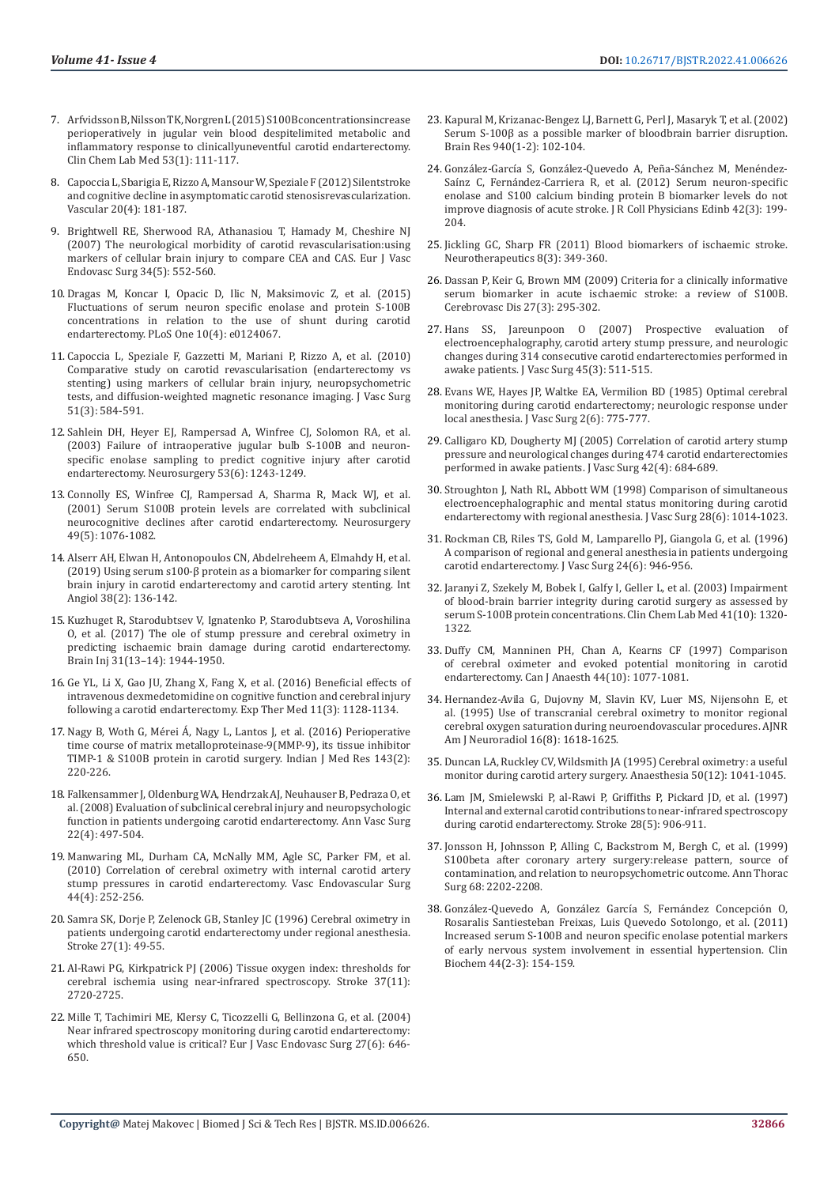- 7. [Arfvidsson B, Nilsson TK, Norgren L \(2015\) S100B concentrationsincrease](https://pubmed.ncbi.nlm.nih.gov/25153417/)  [perioperatively in jugular vein blood despitelimited metabolic and](https://pubmed.ncbi.nlm.nih.gov/25153417/)  [inflammatory response to clinicallyuneventful carotid endarterectomy.](https://pubmed.ncbi.nlm.nih.gov/25153417/)  [Clin Chem Lab Med 53\(1\): 111-117.](https://pubmed.ncbi.nlm.nih.gov/25153417/)
- 8. [Capoccia L, Sbarigia E, Rizzo A, Mansour W, Speziale F \(2012\) Silentstroke](https://pubmed.ncbi.nlm.nih.gov/22734086/)  [and cognitive decline in asymptomatic carotid stenosisrevascularization.](https://pubmed.ncbi.nlm.nih.gov/22734086/)  [Vascular 20\(4\): 181-187.](https://pubmed.ncbi.nlm.nih.gov/22734086/)
- 9. [Brightwell RE, Sherwood RA, Athanasiou T, Hamady M, Cheshire NJ](https://pubmed.ncbi.nlm.nih.gov/17719806/)  [\(2007\) The neurological morbidity of carotid revascularisation:using](https://pubmed.ncbi.nlm.nih.gov/17719806/)  [markers of cellular brain injury to compare CEA and CAS. Eur J Vasc](https://pubmed.ncbi.nlm.nih.gov/17719806/)  [Endovasc Surg 34\(5\): 552-560.](https://pubmed.ncbi.nlm.nih.gov/17719806/)
- 10. [Dragas M, Koncar I, Opacic D, Ilic N, Maksimovic Z, et al. \(2015\)](https://pubmed.ncbi.nlm.nih.gov/25859683/)  [Fluctuations of serum neuron specific enolase and protein S-100B](https://pubmed.ncbi.nlm.nih.gov/25859683/)  [concentrations in relation to the use of shunt during carotid](https://pubmed.ncbi.nlm.nih.gov/25859683/)  [endarterectomy. PLoS One 10\(4\): e0124067.](https://pubmed.ncbi.nlm.nih.gov/25859683/)
- 11. [Capoccia L, Speziale F, Gazzetti M, Mariani P, Rizzo A, et al. \(2010\)](https://pubmed.ncbi.nlm.nih.gov/20045614/)  [Comparative study on carotid revascularisation \(endarterectomy vs](https://pubmed.ncbi.nlm.nih.gov/20045614/)  [stenting\) using markers of cellular brain injury, neuropsychometric](https://pubmed.ncbi.nlm.nih.gov/20045614/)  [tests, and diffusion-weighted magnetic resonance imaging. J Vasc Surg](https://pubmed.ncbi.nlm.nih.gov/20045614/)  [51\(3\): 584-591.](https://pubmed.ncbi.nlm.nih.gov/20045614/)
- 12. [Sahlein DH, Heyer EJ, Rampersad A, Winfree CJ, Solomon RA, et al.](https://pubmed.ncbi.nlm.nih.gov/14633290/)  [\(2003\) Failure of intraoperative jugular bulb S-100B and neuron](https://pubmed.ncbi.nlm.nih.gov/14633290/)[specific enolase sampling to predict cognitive injury after carotid](https://pubmed.ncbi.nlm.nih.gov/14633290/)  [endarterectomy. Neurosurgery 53\(6\): 1243-1249.](https://pubmed.ncbi.nlm.nih.gov/14633290/)
- 13. [Connolly ES, Winfree CJ, Rampersad A, Sharma R, Mack WJ, et al.](https://pubmed.ncbi.nlm.nih.gov/11846900/)  [\(2001\) Serum S100B protein levels are correlated with subclinical](https://pubmed.ncbi.nlm.nih.gov/11846900/)  [neurocognitive declines after carotid endarterectomy. Neurosurgery](https://pubmed.ncbi.nlm.nih.gov/11846900/)  [49\(5\): 1076-1082.](https://pubmed.ncbi.nlm.nih.gov/11846900/)
- 14. [Alserr AH, Elwan H, Antonopoulos CN, Abdelreheem A, Elmahdy H, et al.](https://pubmed.ncbi.nlm.nih.gov/30650951/)  [\(2019\) Using serum s100-β protein as a biomarker for comparing silent](https://pubmed.ncbi.nlm.nih.gov/30650951/)  [brain injury in carotid endarterectomy and carotid artery stenting. Int](https://pubmed.ncbi.nlm.nih.gov/30650951/)  [Angiol 38\(2\): 136-142.](https://pubmed.ncbi.nlm.nih.gov/30650951/)
- 15. [Kuzhuget R, Starodubtsev V, Ignatenko P, Starodubtseva A, Voroshilina](https://pubmed.ncbi.nlm.nih.gov/28872355/)  [O, et al. \(2017\) The ole of stump pressure and cerebral oximetry in](https://pubmed.ncbi.nlm.nih.gov/28872355/)  [predicting ischaemic brain damage during carotid endarterectomy.](https://pubmed.ncbi.nlm.nih.gov/28872355/)  [Brain Inj 31\(13–14\): 1944-1950.](https://pubmed.ncbi.nlm.nih.gov/28872355/)
- 16. [Ge YL, Li X, Gao JU, Zhang X, Fang X, et al. \(2016\) Beneficial effects of](https://www.spandidos-publications.com/10.3892/etm.2016.2978)  [intravenous dexmedetomidine on cognitive function and cerebral injury](https://www.spandidos-publications.com/10.3892/etm.2016.2978)  [following a carotid endarterectomy. Exp Ther Med 11\(3\): 1128-1134.](https://www.spandidos-publications.com/10.3892/etm.2016.2978)
- 17. [Nagy B, Woth G, Mérei Á, Nagy L, Lantos J, et al. \(2016\) Perioperative](https://pubmed.ncbi.nlm.nih.gov/27121520/)  [time course of matrix metalloproteinase-9\(MMP-9\), its tissue inhibitor](https://pubmed.ncbi.nlm.nih.gov/27121520/)  [TIMP-1 & S100B protein in carotid surgery. Indian J Med Res 143\(2\):](https://pubmed.ncbi.nlm.nih.gov/27121520/)  [220-226.](https://pubmed.ncbi.nlm.nih.gov/27121520/)
- 18. [Falkensammer J, Oldenburg WA, Hendrzak AJ, Neuhauser B, Pedraza O, et](https://pubmed.ncbi.nlm.nih.gov/18504102/)  [al. \(2008\) Evaluation of subclinical cerebral injury and neuropsychologic](https://pubmed.ncbi.nlm.nih.gov/18504102/)  [function in patients undergoing carotid endarterectomy. Ann Vasc Surg](https://pubmed.ncbi.nlm.nih.gov/18504102/)  [22\(4\): 497-504.](https://pubmed.ncbi.nlm.nih.gov/18504102/)
- 19. [Manwaring ML, Durham CA, McNally MM, Agle SC, Parker FM, et al.](https://pubmed.ncbi.nlm.nih.gov/20356866/)  [\(2010\) Correlation of cerebral oximetry with internal carotid artery](https://pubmed.ncbi.nlm.nih.gov/20356866/)  [stump pressures in carotid endarterectomy. Vasc Endovascular Surg](https://pubmed.ncbi.nlm.nih.gov/20356866/)  [44\(4\): 252-256.](https://pubmed.ncbi.nlm.nih.gov/20356866/)
- 20. [Samra SK, Dorje P, Zelenock GB, Stanley JC \(1996\) Cerebral oximetry in](https://pubmed.ncbi.nlm.nih.gov/8553402/)  [patients undergoing carotid endarterectomy under regional anesthesia.](https://pubmed.ncbi.nlm.nih.gov/8553402/)  [Stroke 27\(1\): 49-55.](https://pubmed.ncbi.nlm.nih.gov/8553402/)
- 21. [Al-Rawi PG, Kirkpatrick PJ \(2006\) Tissue oxygen index: thresholds for](https://pubmed.ncbi.nlm.nih.gov/17008623/)  [cerebral ischemia using near-infrared spectroscopy. Stroke 37\(11\):](https://pubmed.ncbi.nlm.nih.gov/17008623/)  [2720-2725.](https://pubmed.ncbi.nlm.nih.gov/17008623/)
- 22. [Mille T, Tachimiri ME, Klersy C, Ticozzelli G, Bellinzona G, et al. \(2004\)](https://pubmed.ncbi.nlm.nih.gov/15121117/)  [Near infrared spectroscopy monitoring during carotid endarterectomy:](https://pubmed.ncbi.nlm.nih.gov/15121117/)  [which threshold value is critical? Eur J Vasc Endovasc Surg 27\(6\): 646-](https://pubmed.ncbi.nlm.nih.gov/15121117/) [650.](https://pubmed.ncbi.nlm.nih.gov/15121117/)
- 23. [Kapural M, Krizanac-Bengez LJ, Barnett G, Perl J, Masaryk T, et al. \(2002\)](https://pubmed.ncbi.nlm.nih.gov/12020881/) [Serum S-100β as a possible marker of bloodbrain barrier disruption.](https://pubmed.ncbi.nlm.nih.gov/12020881/) [Brain Res 940\(1-2\): 102-104.](https://pubmed.ncbi.nlm.nih.gov/12020881/)
- 24. [González-García S, González-Quevedo A, Peña-Sánchez M, Menéndez-](https://www.researchgate.net/publication/230805867_Serum_neuron-specific_enolase_and_S100_calcium_binding_protein_B_biomarker_levels_do_not_improve_diagnosis_of_acute_stroke)[Saínz C, Fernández-Carriera R, et al. \(2012\) Serum neuron-specific](https://www.researchgate.net/publication/230805867_Serum_neuron-specific_enolase_and_S100_calcium_binding_protein_B_biomarker_levels_do_not_improve_diagnosis_of_acute_stroke) [enolase and S100 calcium binding protein B biomarker levels do not](https://www.researchgate.net/publication/230805867_Serum_neuron-specific_enolase_and_S100_calcium_binding_protein_B_biomarker_levels_do_not_improve_diagnosis_of_acute_stroke) [improve diagnosis of acute stroke. J R Coll Physicians Edinb 42\(3\): 199-](https://www.researchgate.net/publication/230805867_Serum_neuron-specific_enolase_and_S100_calcium_binding_protein_B_biomarker_levels_do_not_improve_diagnosis_of_acute_stroke) [204.](https://www.researchgate.net/publication/230805867_Serum_neuron-specific_enolase_and_S100_calcium_binding_protein_B_biomarker_levels_do_not_improve_diagnosis_of_acute_stroke)
- 25. [Jickling GC, Sharp FR \(2011\) Blood biomarkers of ischaemic stroke.](https://pubmed.ncbi.nlm.nih.gov/21671123/) [Neurotherapeutics 8\(3\): 349-360.](https://pubmed.ncbi.nlm.nih.gov/21671123/)
- 26. [Dassan P, Keir G, Brown MM \(2009\) Criteria for a clinically informative](https://pubmed.ncbi.nlm.nih.gov/19202335/) [serum biomarker in acute ischaemic stroke: a review of S100B.](https://pubmed.ncbi.nlm.nih.gov/19202335/) [Cerebrovasc Dis 27\(3\): 295-302.](https://pubmed.ncbi.nlm.nih.gov/19202335/)
- 27. [Hans SS, Jareunpoon O \(2007\) Prospective evaluation of](https://pubmed.ncbi.nlm.nih.gov/17275248/) [electroencephalography, carotid artery stump pressure, and neurologic](https://pubmed.ncbi.nlm.nih.gov/17275248/) [changes during 314 consecutive carotid endarterectomies performed in](https://pubmed.ncbi.nlm.nih.gov/17275248/) [awake patients. J Vasc Surg 45\(3\): 511-515.](https://pubmed.ncbi.nlm.nih.gov/17275248/)
- 28. [Evans WE, Hayes JP, Waltke EA, Vermilion BD \(1985\) Optimal cerebral](https://pubmed.ncbi.nlm.nih.gov/4057434/) [monitoring during carotid endarterectomy; neurologic response under](https://pubmed.ncbi.nlm.nih.gov/4057434/) [local anesthesia. J Vasc Surg 2\(6\): 775-777.](https://pubmed.ncbi.nlm.nih.gov/4057434/)
- 29. [Calligaro KD, Dougherty MJ \(2005\) Correlation of carotid artery stump](https://pubmed.ncbi.nlm.nih.gov/16242555/) [pressure and neurological changes during 474 carotid endarterectomies](https://pubmed.ncbi.nlm.nih.gov/16242555/) [performed in awake patients. J Vasc Surg 42\(4\): 684-689.](https://pubmed.ncbi.nlm.nih.gov/16242555/)
- 30. [Stroughton J, Nath RL, Abbott WM \(1998\) Comparison of simultaneous](https://pubmed.ncbi.nlm.nih.gov/9845652/) [electroencephalographic and mental status monitoring during carotid](https://pubmed.ncbi.nlm.nih.gov/9845652/) [endarterectomy with regional anesthesia. J Vasc Surg 28\(6\): 1014-1023.](https://pubmed.ncbi.nlm.nih.gov/9845652/)
- 31. [Rockman CB, Riles TS, Gold M, Lamparello PJ, Giangola G, et al. \(1996\)](https://pubmed.ncbi.nlm.nih.gov/8976348/) [A comparison of regional and general anesthesia in patients undergoing](https://pubmed.ncbi.nlm.nih.gov/8976348/) [carotid endarterectomy. J Vasc Surg 24\(6\): 946-956.](https://pubmed.ncbi.nlm.nih.gov/8976348/)
- 32. [Jaranyi Z, Szekely M, Bobek I, Galfy I, Geller L, et al. \(2003\) Impairment](https://www.researchgate.net/publication/9039294_Impairment_of_Blood-Brain_Barrier_Integrity_during_Carotid_Surgery_as_Assessed_by_Serum_S-100B_Protein_Concentrations) [of blood-brain barrier integrity during carotid surgery as assessed by](https://www.researchgate.net/publication/9039294_Impairment_of_Blood-Brain_Barrier_Integrity_during_Carotid_Surgery_as_Assessed_by_Serum_S-100B_Protein_Concentrations) [serum S-100B protein concentrations. Clin Chem Lab Med 41\(10\): 1320-](https://www.researchgate.net/publication/9039294_Impairment_of_Blood-Brain_Barrier_Integrity_during_Carotid_Surgery_as_Assessed_by_Serum_S-100B_Protein_Concentrations) [1322.](https://www.researchgate.net/publication/9039294_Impairment_of_Blood-Brain_Barrier_Integrity_during_Carotid_Surgery_as_Assessed_by_Serum_S-100B_Protein_Concentrations)
- 33. [Duffy CM, Manninen PH, Chan A, Kearns CF \(1997\) Comparison](https://pubmed.ncbi.nlm.nih.gov/9350367/) [of cerebral oximeter and evoked potential monitoring in carotid](https://pubmed.ncbi.nlm.nih.gov/9350367/) [endarterectomy. Can J Anaesth 44\(10\): 1077-1081.](https://pubmed.ncbi.nlm.nih.gov/9350367/)
- 34. [Hernandez-Avila G, Dujovny M, Slavin KV, Luer MS, Nijensohn E, et](http://www.ajnr.org/content/16/8/1618) [al. \(1995\) Use of transcranial cerebral oximetry to monitor regional](http://www.ajnr.org/content/16/8/1618) [cerebral oxygen saturation during neuroendovascular procedures. AJNR](http://www.ajnr.org/content/16/8/1618) [Am J Neuroradiol 16\(8\): 1618-1625.](http://www.ajnr.org/content/16/8/1618)
- 35. [Duncan LA, Ruckley CV, Wildsmith JA \(1995\) Cerebral oximetry: a useful](https://pubmed.ncbi.nlm.nih.gov/8546283/) [monitor during carotid artery surgery. Anaesthesia 50\(12\): 1041-1045.](https://pubmed.ncbi.nlm.nih.gov/8546283/)
- 36. [Lam JM, Smielewski P, al-Rawi P, Griffiths P, Pickard JD, et al. \(1997\)](https://pubmed.ncbi.nlm.nih.gov/9158623/) [Internal and external carotid contributions to near-infrared spectroscopy](https://pubmed.ncbi.nlm.nih.gov/9158623/) [during carotid endarterectomy. Stroke 28\(5\): 906-911.](https://pubmed.ncbi.nlm.nih.gov/9158623/)
- 37. Jonsson H, Johnsson P, Alling C, Backstrom M, Bergh C, et al. (1999) S100beta after coronary artery surgery:release pattern, source of contamination, and relation to neuropsychometric outcome. Ann Thorac Surg 68: 2202-2208.
- 38. [González-Quevedo A, González García S, Fernández Concepción O,](https://pubmed.ncbi.nlm.nih.gov/21130083/) [Rosaralis Santiesteban Freixas, Luis Quevedo Sotolongo, et al. \(2011\)](https://pubmed.ncbi.nlm.nih.gov/21130083/) [Increased serum S-100B and neuron specific enolase potential markers](https://pubmed.ncbi.nlm.nih.gov/21130083/) [of early nervous system involvement in essential hypertension. Clin](https://pubmed.ncbi.nlm.nih.gov/21130083/) [Biochem 44\(2-3\): 154-159.](https://pubmed.ncbi.nlm.nih.gov/21130083/)